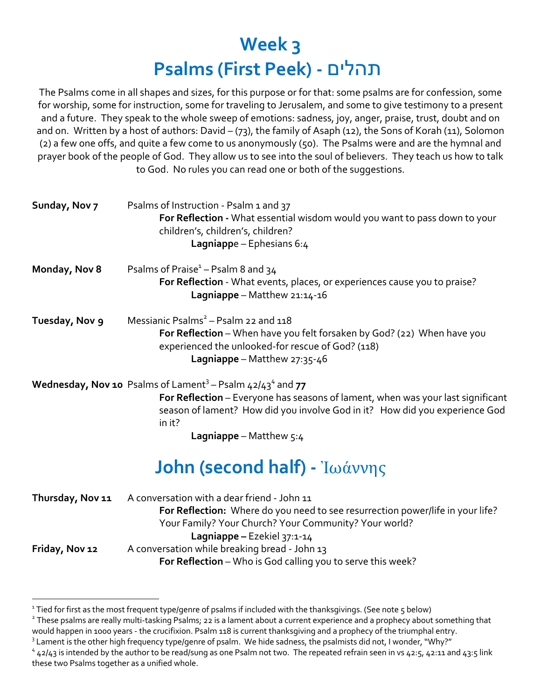# **Week 3 Psalms (First Peek) -** םילהת

The Psalms come in all shapes and sizes, for this purpose or for that: some psalms are for confession, some for worship, some for instruction, some for traveling to Jerusalem, and some to give testimony to a present and a future. They speak to the whole sweep of emotions: sadness, joy, anger, praise, trust, doubt and on and on. Written by a host of authors: David – (73), the family of Asaph (12), the Sons of Korah (11), Solomon (2) a few one offs, and quite a few come to us anonymously (50). The Psalms were and are the hymnal and prayer book of the people of God. They allow us to see into the soul of believers. They teach us how to talk to God. No rules you can read one or both of the suggestions.

| Sunday, Nov 7  | Psalms of Instruction - Psalm 1 and 37<br>For Reflection - What essential wisdom would you want to pass down to your<br>children's, children's, children?<br>Lagniappe – Ephesians $6:4$                           |
|----------------|--------------------------------------------------------------------------------------------------------------------------------------------------------------------------------------------------------------------|
| Monday, Nov 8  | Psalms of Praise <sup><math>1</math></sup> – Psalm 8 and 34<br>For Reflection - What events, places, or experiences cause you to praise?<br>Lagniappe - Matthew $21:14-16$                                         |
| Tuesday, Nov 9 | Messianic Psalms <sup>2</sup> – Psalm 22 and 118<br>For Reflection - When have you felt forsaken by God? (22) When have you<br>experienced the unlooked-for rescue of God? (118)<br>Lagniappe - Matthew $27:35-46$ |
|                | <b>Wednesday, Nov 10</b> Psalms of Lament <sup>3</sup> – Psalm $42/43^4$ and 77                                                                                                                                    |
|                | For Reflection - Everyone has seasons of lament, when was your last significant                                                                                                                                    |

season of lament? How did you involve God in it? How did you experience God in it?

**Lagniappe** – Matthew 5:4

## **John (second half) -** Ἰωάννης

| Thursday, Nov 11 | A conversation with a dear friend - John 11                                    |
|------------------|--------------------------------------------------------------------------------|
|                  | For Reflection: Where do you need to see resurrection power/life in your life? |
|                  | Your Family? Your Church? Your Community? Your world?                          |
|                  | Lagniappe - Ezekiel $37:1-14$                                                  |
| Friday, Nov 12   | A conversation while breaking bread - John 13                                  |
|                  | For Reflection - Who is God calling you to serve this week?                    |

<sup>2</sup> These psalms are really multi-tasking Psalms; 22 is a lament about a current experience and a prophecy about something that would happen in 1000 years - the crucifixion. Psalm 118 is current thanksgiving and a prophecy of the triumphal entry.

<sup>1</sup> Tied for first as the most frequent type/genre of psalms if included with the thanksgivings. (See note 5 below)

<sup>&</sup>lt;sup>3</sup> Lament is the other high frequency type/genre of psalm. We hide sadness, the psalmists did not, I wonder, "Why?"

 $4$  42/43 is intended by the author to be read/sung as one Psalm not two. The repeated refrain seen in vs 42:5, 42:11 and 43:5 link these two Psalms together as a unified whole.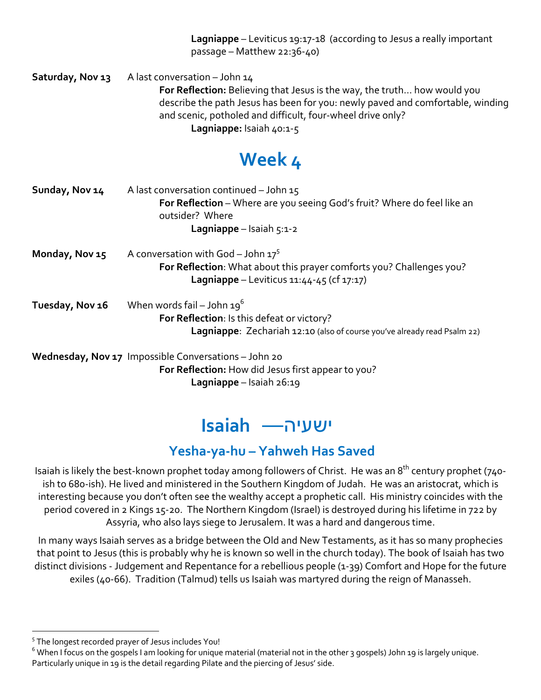**Lagniappe** – Leviticus 19:17-18 (according to Jesus a really important passage – Matthew 22:36-40)

**Saturday, Nov 13** A last conversation – John 14 **For Reflection:** Believing that Jesus is the way, the truth… how would you describe the path Jesus has been for you: newly paved and comfortable, winding and scenic, potholed and difficult, four-wheel drive only? **Lagniappe:** Isaiah 40:1-5

## **Week 4**

| Sunday, Nov 14  | A last conversation continued - John $15$<br>For Reflection – Where are you seeing God's fruit? Where do feel like an<br>outsider? Where<br><b>Lagniappe</b> – Isaiah 5:1-2 |
|-----------------|-----------------------------------------------------------------------------------------------------------------------------------------------------------------------------|
| Monday, Nov 15  | A conversation with God - John $17^5$<br>For Reflection: What about this prayer comforts you? Challenges you?<br><b>Lagniappe</b> - Leviticus $11:44-45$ (cf $17:17$ )      |
| Tuesday, Nov 16 | When words fail – John $19^6$<br>For Reflection: Is this defeat or victory?<br>Lagniappe: Zechariah 12:10 (also of course you've already read Psalm 22)                     |
|                 | Wednesday, Nov 17 Impossible Conversations - John 20<br>For Reflection: How did Jesus first appear to you?                                                                  |

**Lagniappe** – Isaiah 26:19

## היעשי — **Isaiah**

### **Yesha-ya-hu – Yahweh Has Saved**

Isaiah is likely the best-known prophet today among followers of Christ. He was an 8<sup>th</sup> century prophet (740ish to 680-ish). He lived and ministered in the Southern Kingdom of Judah. He was an aristocrat, which is interesting because you don't often see the wealthy accept a prophetic call. His ministry coincides with the period covered in 2 Kings 15-20. The Northern Kingdom (Israel) is destroyed during his lifetime in 722 by Assyria, who also lays siege to Jerusalem. It was a hard and dangerous time.

In many ways Isaiah serves as a bridge between the Old and New Testaments, as it has so many prophecies that point to Jesus (this is probably why he is known so well in the church today). The book of Isaiah has two distinct divisions - Judgement and Repentance for a rebellious people (1-39) Comfort and Hope for the future exiles (40-66). Tradition (Talmud) tells us Isaiah was martyred during the reign of Manasseh.

<sup>5</sup> The longest recorded prayer of Jesus includes You!

<sup>&</sup>lt;sup>6</sup> When I focus on the gospels I am looking for unique material (material not in the other 3 gospels) John 19 is largely unique. Particularly unique in 19 is the detail regarding Pilate and the piercing of Jesus' side.